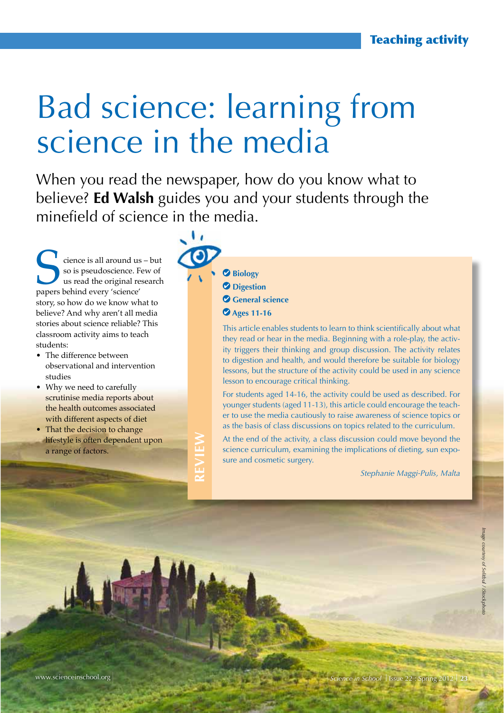## Bad science: learning from science in the media

When you read the newspaper, how do you know what to believe? **Ed Walsh** guides you and your students through the minefield of science in the media.

Science is all around us – but<br>
so is pseudoscience. Few of<br>
us read the original research<br>
papers behind every 'science' so is pseudoscience. Few of us read the original research story, so how do we know what to believe? And why aren't all media stories about science reliable? This classroom activity aims to teach students:

- The difference between observational and intervention studies
- Why we need to carefully scrutinise media reports about the health outcomes associated with different aspects of diet
- That the decision to change lifestyle is often dependent upon a range of factors.

**REVIEW**

- **Biology**
- **Digestion**
- **General science**
- **Ages 11-16**

This article enables students to learn to think scientifically about what they read or hear in the media. Beginning with a role-play, the activity triggers their thinking and group discussion. The activity relates to digestion and health, and would therefore be suitable for biology lessons, but the structure of the activity could be used in any science lesson to encourage critical thinking.

For students aged 14-16, the activity could be used as described. For younger students (aged 11-13), this article could encourage the teacher to use the media cautiously to raise awareness of science topics or as the basis of class discussions on topics related to the curriculum.

At the end of the activity, a class discussion could move beyond the science curriculum, examining the implications of dieting, sun exposure and cosmetic surgery.

*Stephanie Maggi-Pulis, Malta*

www.scienceinschool.org **Science in School | Issue 22 : Spring 2012** I Issue 22 : Spring 2012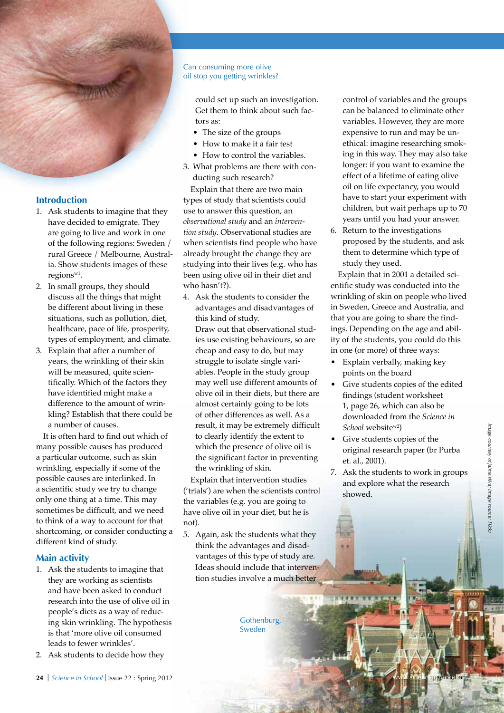### **Introduction**

- 1. Ask students to imagine that they have decided to emigrate. They are going to live and work in one of the following regions: Sweden / rural Greece / Melbourne, Australia. Show students images of these regionsw1.
- 2. In small groups, they should discuss all the things that might be different about living in these situations, such as pollution, diet, healthcare, pace of life, prosperity, types of employment, and climate.
- 3. Explain that after a number of years, the wrinkling of their skin will be measured, quite scientifically. Which of the factors they have identified might make a difference to the amount of wrinkling? Establish that there could be a number of causes.

It is often hard to find out which of many possible causes has produced a particular outcome, such as skin wrinkling, especially if some of the possible causes are interlinked. In a scientific study we try to change only one thing at a time. This may sometimes be difficult, and we need to think of a way to account for that shortcoming, or consider conducting a different kind of study.

#### **Main activity**

- 1. Ask the students to imagine that they are working as scientists and have been asked to conduct research into the use of olive oil in people's diets as a way of reducing skin wrinkling. The hypothesis is that 'more olive oil consumed leads to fewer wrinkles'.
- 2. Ask students to decide how they

#### Can consuming more olive oil stop you getting wrinkles?

could set up such an investigation. Get them to think about such factors as:

- The size of the groups
- How to make it a fair test
- How to control the variables
- 3. What problems are there with conducting such research?

Explain that there are two main types of study that scientists could use to answer this question, an *observational study* and an *intervention study*. Observational studies are when scientists find people who have already brought the change they are studying into their lives (e.g. who has been using olive oil in their diet and who hasn't?).

4. Ask the students to consider the advantages and disadvantages of this kind of study. Draw out that observational studies use existing behaviours, so are cheap and easy to do, but may struggle to isolate single variables. People in the study group may well use different amounts of olive oil in their diets, but there are almost certainly going to be lots of other differences as well. As a result, it may be extremely difficult to clearly identify the extent to which the presence of olive oil is the significant factor in preventing the wrinkling of skin.

Explain that intervention studies ('trials') are when the scientists control the variables (e.g. you are going to have olive oil in your diet, but he is not).

5. Again, ask the students what they think the advantages and disadvantages of this type of study are. Ideas should include that intervention studies involve a much better

> Gothenburg, Sweden

control of variables and the groups can be balanced to eliminate other variables. However, they are more expensive to run and may be unethical: imagine researching smoking in this way. They may also take longer: if you want to examine the effect of a lifetime of eating olive oil on life expectancy, you would have to start your experiment with children, but wait perhaps up to 70 years until you had your answer.

6. Return to the investigations proposed by the students, and ask them to determine which type of study they used.

Explain that in 2001 a detailed scientific study was conducted into the wrinkling of skin on people who lived in Sweden, Greece and Australia, and that you are going to share the findings. Depending on the age and ability of the students, you could do this in one (or more) of three ways:

- Explain verbally, making key points on the board
- • Give students copies of the edited findings (student worksheet 1, page 26, which can also be downloaded from the *Science in School* websitew2)
- • Give students copies of the original research paper (br Purba et. al., 2001).
- 7. Ask the students to work in groups and explore what the research showed.

24 | *Science in School* | Issue 22 : Spring 2012

Image courtesy of jaime.silva; image source: Flic *Image courtesy of jaime.silva; image source: Flickr*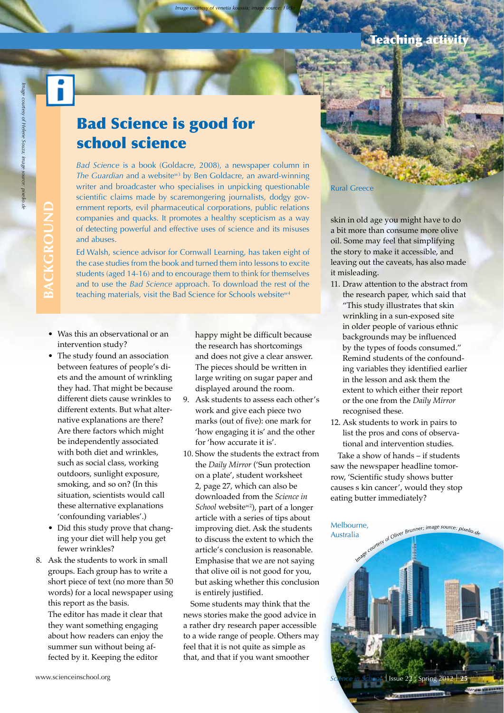# **BACKGROUND** BACKGROUN

## Bad Science is good for school science

 *Image courtesy of venetia koussia; image source: Flickr*

*Bad Science* is a book (Goldacre, 2008), a newspaper column in *The Guardian* and a website<sup>w3</sup> by Ben Goldacre, an award-winning writer and broadcaster who specialises in unpicking questionable scientific claims made by scaremongering journalists, dodgy government reports, evil pharmaceutical corporations, public relations companies and quacks. It promotes a healthy scepticism as a way of detecting powerful and effective uses of science and its misuses and abuses.

Ed Walsh, science advisor for Cornwall Learning, has taken eight of the case studies from the book and turned them into lessons to excite students (aged 14-16) and to encourage them to think for themselves and to use the *Bad Science* approach. To download the rest of the teaching materials, visit the Bad Science for Schools website<sup>w4</sup>

- Was this an observational or an intervention study?
- The study found an association between features of people's diets and the amount of wrinkling they had. That might be because different diets cause wrinkles to different extents. But what alternative explanations are there? Are there factors which might be independently associated with both diet and wrinkles, such as social class, working outdoors, sunlight exposure, smoking, and so on? (In this situation, scientists would call these alternative explanations 'confounding variables'.)
- Did this study prove that changing your diet will help you get fewer wrinkles?
- 8. Ask the students to work in small groups. Each group has to write a short piece of text (no more than 50 words) for a local newspaper using this report as the basis. The editor has made it clear that they want something engaging

about how readers can enjoy the summer sun without being affected by it. Keeping the editor

happy might be difficult because the research has shortcomings and does not give a clear answer. The pieces should be written in large writing on sugar paper and displayed around the room.

- 9. Ask students to assess each other's work and give each piece two marks (out of five): one mark for 'how engaging it is' and the other for 'how accurate it is'.
- 10. Show the students the extract from the *Daily Mirror* ('Sun protection on a plate', student worksheet 2, page 27, which can also be downloaded from the *Science in School* website<sup>w2</sup>), part of a longer article with a series of tips about improving diet. Ask the students to discuss the extent to which the article's conclusion is reasonable. Emphasise that we are not saying that olive oil is not good for you, but asking whether this conclusion is entirely justified.

Some students may think that the news stories make the good advice in a rather dry research paper accessible to a wide range of people. Others may feel that it is not quite as simple as that, and that if you want smoother

Rural Greece

skin in old age you might have to do a bit more than consume more olive oil. Some may feel that simplifying the story to make it accessible, and leaving out the caveats, has also made it misleading.

- 11. Draw attention to the abstract from the research paper, which said that "This study illustrates that skin wrinkling in a sun-exposed site in older people of various ethnic backgrounds may be influenced by the types of foods consumed." Remind students of the confounding variables they identified earlier in the lesson and ask them the extent to which either their report or the one from the *Daily Mirror* recognised these.
- 12. Ask students to work in pairs to list the pros and cons of observational and intervention studies.

Take a show of hands – if students saw the newspaper headline tomorrow, 'Scientific study shows butter causes s kin cancer', would they stop eating butter immediately?

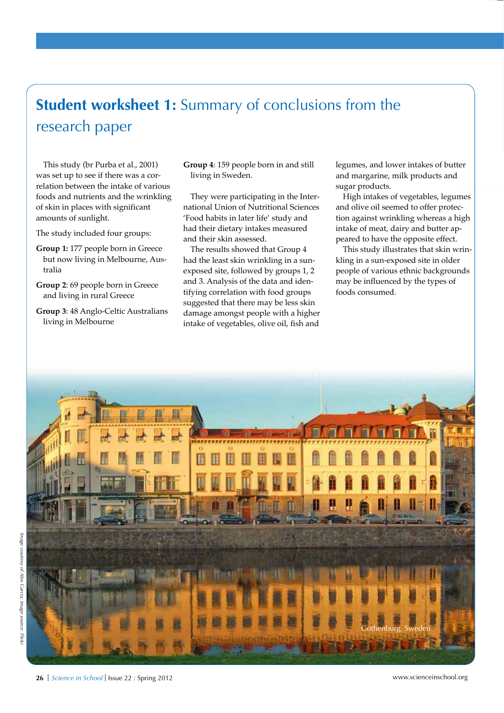## **Student worksheet 1:** Summary of conclusions from the research paper

This study (br Purba et al., 2001) was set up to see if there was a correlation between the intake of various foods and nutrients and the wrinkling of skin in places with significant amounts of sunlight.

The study included four groups:

- **Group 1:** 177 people born in Greece but now living in Melbourne, Australia
- **Group 2**: 69 people born in Greece and living in rural Greece
- **Group 3**: 48 Anglo-Celtic Australians living in Melbourne

**Group 4**: 159 people born in and still living in Sweden.

They were participating in the International Union of Nutritional Sciences 'Food habits in later life' study and had their dietary intakes measured and their skin assessed.

The results showed that Group 4 had the least skin wrinkling in a sunexposed site, followed by groups 1, 2 and 3. Analysis of the data and identifying correlation with food groups suggested that there may be less skin damage amongst people with a higher intake of vegetables, olive oil, fish and

legumes, and lower intakes of butter and margarine, milk products and sugar products.

High intakes of vegetables, legumes and olive oil seemed to offer protection against wrinkling whereas a high intake of meat, dairy and butter appeared to have the opposite effect.

This study illustrates that skin wrinkling in a sun-exposed site in older people of various ethnic backgrounds may be influenced by the types of foods consumed.

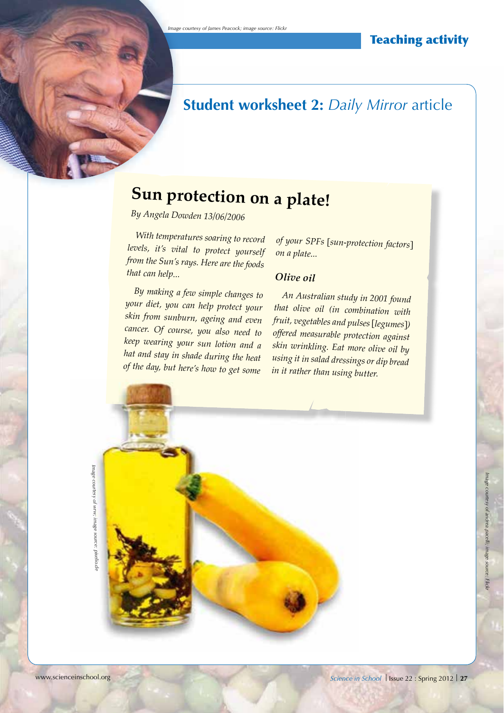## **Student worksheet 2:** *Daily Mirror* article

## **Sun protection on a plate!**

*By Angela Dowden 13/06/2006*

*With temperatures soaring to record levels, it's vital to protect yourself from the Sun's rays. Here are the foods that can help...*

*By making a few simple changes to your diet, you can help protect your skin from sunburn, ageing and even cancer. Of course, you also need to keep wearing your sun lotion and a hat and stay in shade during the heat of the day, but here's how to get some* 

*of your SPFs* [*sun-protection factors*] *on a plate...*

## *Olive oil*

*An Australian study in 2001 found that olive oil (in combination with fruit, vegetables and pulses* [*legumes*]*) offered measurable protection against skin wrinkling. Eat more olive oil by using it in salad dressings or dip bread in it rather than using butter.*